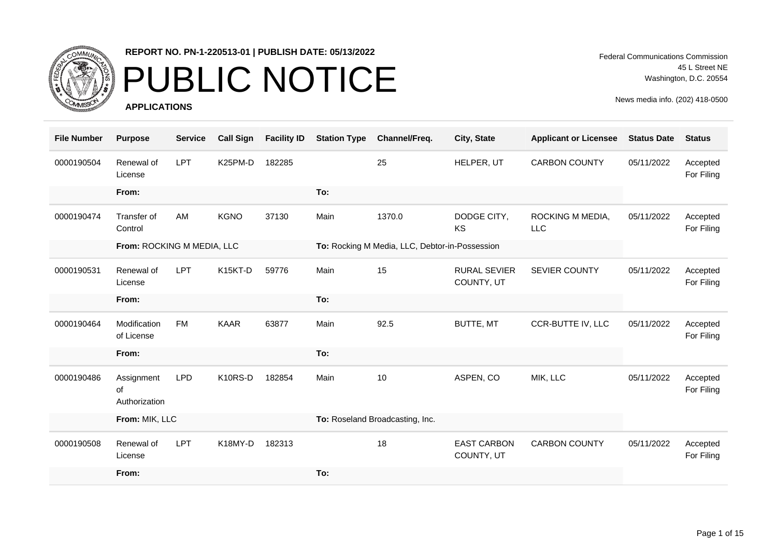

## PUBLIC NOTICE

**APPLICATIONS**

Federal Communications Commission 45 L Street NE Washington, D.C. 20554

| <b>File Number</b> | <b>Purpose</b>                    | <b>Service</b> | <b>Call Sign</b> | <b>Facility ID</b> | <b>Station Type</b> | Channel/Freq.                                  | City, State                       | <b>Applicant or Licensee</b>   | <b>Status Date</b> | <b>Status</b>          |
|--------------------|-----------------------------------|----------------|------------------|--------------------|---------------------|------------------------------------------------|-----------------------------------|--------------------------------|--------------------|------------------------|
| 0000190504         | Renewal of<br>License             | <b>LPT</b>     | K25PM-D          | 182285             |                     | 25                                             | HELPER, UT                        | <b>CARBON COUNTY</b>           | 05/11/2022         | Accepted<br>For Filing |
|                    | From:                             |                |                  |                    | To:                 |                                                |                                   |                                |                    |                        |
| 0000190474         | Transfer of<br>Control            | AM             | <b>KGNO</b>      | 37130              | Main                | 1370.0                                         | DODGE CITY,<br><b>KS</b>          | ROCKING M MEDIA,<br><b>LLC</b> | 05/11/2022         | Accepted<br>For Filing |
|                    | From: ROCKING M MEDIA, LLC        |                |                  |                    |                     | To: Rocking M Media, LLC, Debtor-in-Possession |                                   |                                |                    |                        |
| 0000190531         | Renewal of<br>License             | <b>LPT</b>     | K15KT-D          | 59776              | Main                | 15                                             | <b>RURAL SEVIER</b><br>COUNTY, UT | SEVIER COUNTY                  | 05/11/2022         | Accepted<br>For Filing |
|                    | From:                             |                |                  |                    | To:                 |                                                |                                   |                                |                    |                        |
| 0000190464         | Modification<br>of License        | <b>FM</b>      | <b>KAAR</b>      | 63877              | Main                | 92.5                                           | BUTTE, MT                         | CCR-BUTTE IV, LLC              | 05/11/2022         | Accepted<br>For Filing |
|                    | From:                             |                |                  |                    | To:                 |                                                |                                   |                                |                    |                        |
| 0000190486         | Assignment<br>οf<br>Authorization | <b>LPD</b>     | K10RS-D          | 182854             | Main                | 10                                             | ASPEN, CO                         | MIK, LLC                       | 05/11/2022         | Accepted<br>For Filing |
|                    | From: MIK, LLC                    |                |                  |                    |                     | To: Roseland Broadcasting, Inc.                |                                   |                                |                    |                        |
| 0000190508         | Renewal of<br>License             | <b>LPT</b>     | K18MY-D          | 182313             |                     | 18                                             | <b>EAST CARBON</b><br>COUNTY, UT  | <b>CARBON COUNTY</b>           | 05/11/2022         | Accepted<br>For Filing |
|                    | From:                             |                |                  |                    | To:                 |                                                |                                   |                                |                    |                        |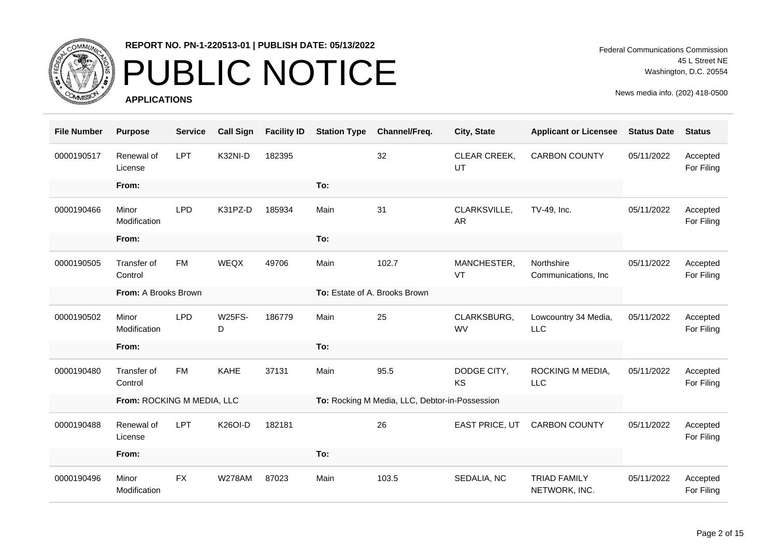

# PUBLIC NOTICE

**APPLICATIONS**

Federal Communications Commission 45 L Street NE Washington, D.C. 20554

| <b>File Number</b> | <b>Purpose</b>             | <b>Service</b> | <b>Call Sign</b>   | <b>Facility ID</b> | <b>Station Type</b> | Channel/Freq.                                  | City, State               | <b>Applicant or Licensee</b>         | <b>Status Date</b> | <b>Status</b>          |
|--------------------|----------------------------|----------------|--------------------|--------------------|---------------------|------------------------------------------------|---------------------------|--------------------------------------|--------------------|------------------------|
| 0000190517         | Renewal of<br>License      | <b>LPT</b>     | K32NI-D            | 182395             |                     | 32                                             | CLEAR CREEK,<br>UT        | <b>CARBON COUNTY</b>                 | 05/11/2022         | Accepted<br>For Filing |
|                    | From:                      |                |                    |                    | To:                 |                                                |                           |                                      |                    |                        |
| 0000190466         | Minor<br>Modification      | <b>LPD</b>     | K31PZ-D            | 185934             | Main                | 31                                             | CLARKSVILLE,<br><b>AR</b> | TV-49, Inc.                          | 05/11/2022         | Accepted<br>For Filing |
|                    | From:                      |                |                    |                    | To:                 |                                                |                           |                                      |                    |                        |
| 0000190505         | Transfer of<br>Control     | <b>FM</b>      | WEQX               | 49706              | Main                | 102.7                                          | MANCHESTER,<br>VT         | Northshire<br>Communications, Inc.   | 05/11/2022         | Accepted<br>For Filing |
|                    | From: A Brooks Brown       |                |                    |                    |                     | To: Estate of A. Brooks Brown                  |                           |                                      |                    |                        |
| 0000190502         | Minor<br>Modification      | <b>LPD</b>     | <b>W25FS-</b><br>D | 186779             | Main                | 25                                             | CLARKSBURG,<br><b>WV</b>  | Lowcountry 34 Media,<br>LLC          | 05/11/2022         | Accepted<br>For Filing |
|                    | From:                      |                |                    |                    | To:                 |                                                |                           |                                      |                    |                        |
| 0000190480         | Transfer of<br>Control     | <b>FM</b>      | <b>KAHE</b>        | 37131              | Main                | 95.5                                           | DODGE CITY,<br>KS         | ROCKING M MEDIA,<br><b>LLC</b>       | 05/11/2022         | Accepted<br>For Filing |
|                    | From: ROCKING M MEDIA, LLC |                |                    |                    |                     | To: Rocking M Media, LLC, Debtor-in-Possession |                           |                                      |                    |                        |
| 0000190488         | Renewal of<br>License      | <b>LPT</b>     | <b>K26OI-D</b>     | 182181             |                     | 26                                             | EAST PRICE, UT            | <b>CARBON COUNTY</b>                 | 05/11/2022         | Accepted<br>For Filing |
|                    | From:                      |                |                    |                    | To:                 |                                                |                           |                                      |                    |                        |
| 0000190496         | Minor<br>Modification      | <b>FX</b>      | <b>W278AM</b>      | 87023              | Main                | 103.5                                          | SEDALIA, NC               | <b>TRIAD FAMILY</b><br>NETWORK, INC. | 05/11/2022         | Accepted<br>For Filing |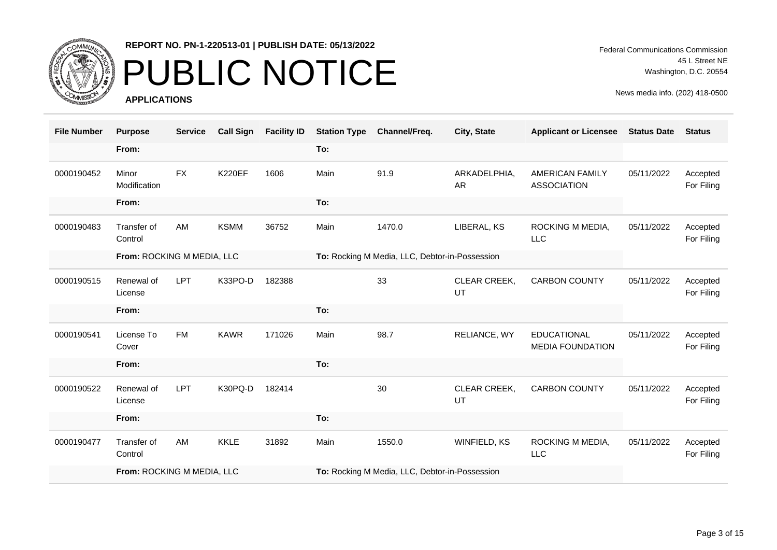

### PUBLIC NOTICE

**APPLICATIONS**

Federal Communications Commission 45 L Street NE Washington, D.C. 20554

| <b>File Number</b> | <b>Purpose</b>             | <b>Service</b> | <b>Call Sign</b> | <b>Facility ID</b> | <b>Station Type</b> | Channel/Freq.                                  | City, State               | <b>Applicant or Licensee</b>                  | <b>Status Date</b> | <b>Status</b>          |
|--------------------|----------------------------|----------------|------------------|--------------------|---------------------|------------------------------------------------|---------------------------|-----------------------------------------------|--------------------|------------------------|
|                    | From:                      |                |                  |                    | To:                 |                                                |                           |                                               |                    |                        |
| 0000190452         | Minor<br>Modification      | <b>FX</b>      | <b>K220EF</b>    | 1606               | Main                | 91.9                                           | ARKADELPHIA,<br><b>AR</b> | <b>AMERICAN FAMILY</b><br><b>ASSOCIATION</b>  | 05/11/2022         | Accepted<br>For Filing |
|                    | From:                      |                |                  |                    | To:                 |                                                |                           |                                               |                    |                        |
| 0000190483         | Transfer of<br>Control     | AM             | <b>KSMM</b>      | 36752              | Main                | 1470.0                                         | LIBERAL, KS               | ROCKING M MEDIA,<br><b>LLC</b>                | 05/11/2022         | Accepted<br>For Filing |
|                    | From: ROCKING M MEDIA, LLC |                |                  |                    |                     | To: Rocking M Media, LLC, Debtor-in-Possession |                           |                                               |                    |                        |
| 0000190515         | Renewal of<br>License      | <b>LPT</b>     | K33PO-D          | 182388             |                     | 33                                             | CLEAR CREEK,<br>UT        | <b>CARBON COUNTY</b>                          | 05/11/2022         | Accepted<br>For Filing |
|                    | From:                      |                |                  |                    |                     |                                                |                           |                                               |                    |                        |
|                    |                            |                |                  |                    | To:                 |                                                |                           |                                               |                    |                        |
| 0000190541         | License To<br>Cover        | <b>FM</b>      | <b>KAWR</b>      | 171026             | Main                | 98.7                                           | RELIANCE, WY              | <b>EDUCATIONAL</b><br><b>MEDIA FOUNDATION</b> | 05/11/2022         | Accepted<br>For Filing |
|                    | From:                      |                |                  |                    | To:                 |                                                |                           |                                               |                    |                        |
| 0000190522         | Renewal of<br>License      | <b>LPT</b>     | K30PQ-D          | 182414             |                     | 30                                             | CLEAR CREEK,<br>UT        | <b>CARBON COUNTY</b>                          | 05/11/2022         | Accepted<br>For Filing |
|                    | From:                      |                |                  |                    | To:                 |                                                |                           |                                               |                    |                        |
| 0000190477         | Transfer of<br>Control     | AM             | <b>KKLE</b>      | 31892              | Main                | 1550.0                                         | WINFIELD, KS              | ROCKING M MEDIA,<br><b>LLC</b>                | 05/11/2022         | Accepted<br>For Filing |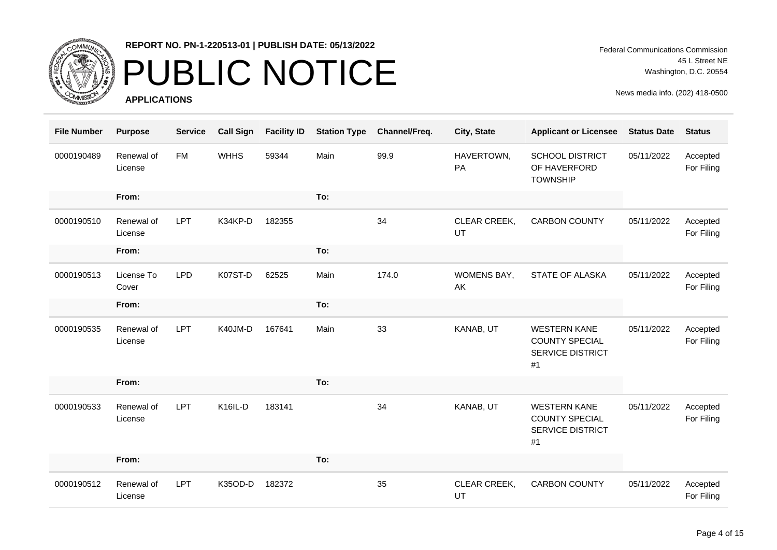

# PUBLIC NOTICE

**APPLICATIONS**

Federal Communications Commission 45 L Street NE Washington, D.C. 20554

| <b>File Number</b> | <b>Purpose</b>        | <b>Service</b> | <b>Call Sign</b> | <b>Facility ID</b> | <b>Station Type</b> | Channel/Freq. | City, State        | <b>Applicant or Licensee</b>                                                  | <b>Status Date</b> | <b>Status</b>          |
|--------------------|-----------------------|----------------|------------------|--------------------|---------------------|---------------|--------------------|-------------------------------------------------------------------------------|--------------------|------------------------|
| 0000190489         | Renewal of<br>License | <b>FM</b>      | <b>WHHS</b>      | 59344              | Main                | 99.9          | HAVERTOWN,<br>PA   | <b>SCHOOL DISTRICT</b><br>OF HAVERFORD<br><b>TOWNSHIP</b>                     | 05/11/2022         | Accepted<br>For Filing |
|                    | From:                 |                |                  |                    | To:                 |               |                    |                                                                               |                    |                        |
| 0000190510         | Renewal of<br>License | <b>LPT</b>     | K34KP-D          | 182355             |                     | 34            | CLEAR CREEK,<br>UT | <b>CARBON COUNTY</b>                                                          | 05/11/2022         | Accepted<br>For Filing |
|                    | From:                 |                |                  |                    | To:                 |               |                    |                                                                               |                    |                        |
| 0000190513         | License To<br>Cover   | <b>LPD</b>     | K07ST-D          | 62525              | Main                | 174.0         | WOMENS BAY,<br>AK  | STATE OF ALASKA                                                               | 05/11/2022         | Accepted<br>For Filing |
|                    | From:                 |                |                  |                    | To:                 |               |                    |                                                                               |                    |                        |
| 0000190535         | Renewal of<br>License | <b>LPT</b>     | K40JM-D          | 167641             | Main                | 33            | KANAB, UT          | <b>WESTERN KANE</b><br><b>COUNTY SPECIAL</b><br><b>SERVICE DISTRICT</b><br>#1 | 05/11/2022         | Accepted<br>For Filing |
|                    | From:                 |                |                  |                    | To:                 |               |                    |                                                                               |                    |                        |
| 0000190533         | Renewal of<br>License | <b>LPT</b>     | K16IL-D          | 183141             |                     | 34            | KANAB, UT          | <b>WESTERN KANE</b><br><b>COUNTY SPECIAL</b><br><b>SERVICE DISTRICT</b><br>#1 | 05/11/2022         | Accepted<br>For Filing |
|                    | From:                 |                |                  |                    | To:                 |               |                    |                                                                               |                    |                        |
| 0000190512         | Renewal of<br>License | <b>LPT</b>     | K35OD-D          | 182372             |                     | 35            | CLEAR CREEK,<br>UT | <b>CARBON COUNTY</b>                                                          | 05/11/2022         | Accepted<br>For Filing |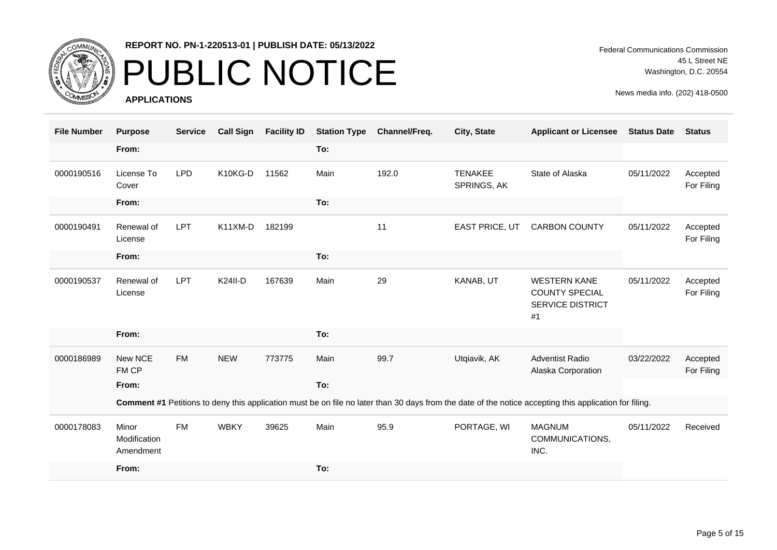

# PUBLIC NOTICE

**APPLICATIONS**

Federal Communications Commission 45 L Street NE Washington, D.C. 20554

| <b>File Number</b> | <b>Purpose</b>                     | <b>Service</b> | <b>Call Sign</b> | <b>Facility ID</b> | <b>Station Type</b> | Channel/Freq. | City, State                   | <b>Applicant or Licensee</b>                                                                                                                           | <b>Status Date</b> | <b>Status</b>          |
|--------------------|------------------------------------|----------------|------------------|--------------------|---------------------|---------------|-------------------------------|--------------------------------------------------------------------------------------------------------------------------------------------------------|--------------------|------------------------|
|                    | From:                              |                |                  |                    | To:                 |               |                               |                                                                                                                                                        |                    |                        |
| 0000190516         | License To<br>Cover                | <b>LPD</b>     | K10KG-D          | 11562              | Main                | 192.0         | <b>TENAKEE</b><br>SPRINGS, AK | State of Alaska                                                                                                                                        | 05/11/2022         | Accepted<br>For Filing |
|                    | From:                              |                |                  |                    | To:                 |               |                               |                                                                                                                                                        |                    |                        |
| 0000190491         | Renewal of<br>License              | LPT            | K11XM-D          | 182199             |                     | 11            | <b>EAST PRICE, UT</b>         | <b>CARBON COUNTY</b>                                                                                                                                   | 05/11/2022         | Accepted<br>For Filing |
|                    | From:                              |                |                  |                    | To:                 |               |                               |                                                                                                                                                        |                    |                        |
| 0000190537         | Renewal of<br>License              | LPT            | <b>K24II-D</b>   | 167639             | Main                | 29            | KANAB, UT                     | <b>WESTERN KANE</b><br><b>COUNTY SPECIAL</b><br><b>SERVICE DISTRICT</b><br>#1                                                                          | 05/11/2022         | Accepted<br>For Filing |
|                    | From:                              |                |                  |                    | To:                 |               |                               |                                                                                                                                                        |                    |                        |
| 0000186989         | New NCE<br>FM CP                   | <b>FM</b>      | <b>NEW</b>       | 773775             | Main                | 99.7          | Utqiavik, AK                  | <b>Adventist Radio</b><br>Alaska Corporation                                                                                                           | 03/22/2022         | Accepted<br>For Filing |
|                    | From:                              |                |                  |                    | To:                 |               |                               |                                                                                                                                                        |                    |                        |
|                    |                                    |                |                  |                    |                     |               |                               | Comment #1 Petitions to deny this application must be on file no later than 30 days from the date of the notice accepting this application for filing. |                    |                        |
| 0000178083         | Minor<br>Modification<br>Amendment | <b>FM</b>      | <b>WBKY</b>      | 39625              | Main                | 95.9          | PORTAGE, WI                   | <b>MAGNUM</b><br>COMMUNICATIONS,<br>INC.                                                                                                               | 05/11/2022         | Received               |
|                    | From:                              |                |                  |                    | To:                 |               |                               |                                                                                                                                                        |                    |                        |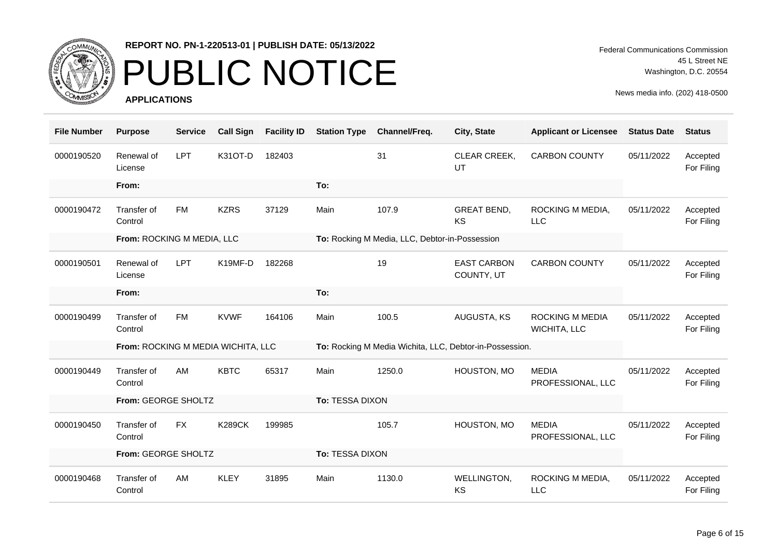

# PUBLIC NOTICE

**APPLICATIONS**

Federal Communications Commission 45 L Street NE Washington, D.C. 20554

| <b>File Number</b> | <b>Purpose</b>                     | <b>Service</b> | <b>Call Sign</b> | <b>Facility ID</b> | <b>Station Type</b> | Channel/Freq.                                  | City, State                                             | <b>Applicant or Licensee</b>      | <b>Status Date</b> | <b>Status</b>          |
|--------------------|------------------------------------|----------------|------------------|--------------------|---------------------|------------------------------------------------|---------------------------------------------------------|-----------------------------------|--------------------|------------------------|
| 0000190520         | Renewal of<br>License              | <b>LPT</b>     | K31OT-D          | 182403             |                     | 31                                             | CLEAR CREEK,<br>UT                                      | <b>CARBON COUNTY</b>              | 05/11/2022         | Accepted<br>For Filing |
|                    | From:                              |                |                  |                    | To:                 |                                                |                                                         |                                   |                    |                        |
| 0000190472         | Transfer of<br>Control             | <b>FM</b>      | <b>KZRS</b>      | 37129              | Main                | 107.9                                          | <b>GREAT BEND,</b><br>KS                                | ROCKING M MEDIA,<br>LLC           | 05/11/2022         | Accepted<br>For Filing |
|                    | From: ROCKING M MEDIA, LLC         |                |                  |                    |                     | To: Rocking M Media, LLC, Debtor-in-Possession |                                                         |                                   |                    |                        |
| 0000190501         | Renewal of<br>License              | <b>LPT</b>     | K19MF-D          | 182268             |                     | 19                                             | <b>EAST CARBON</b><br>COUNTY, UT                        | <b>CARBON COUNTY</b>              | 05/11/2022         | Accepted<br>For Filing |
|                    | From:                              |                |                  |                    | To:                 |                                                |                                                         |                                   |                    |                        |
| 0000190499         | Transfer of<br>Control             | <b>FM</b>      | <b>KVWF</b>      | 164106             | Main                | 100.5                                          | AUGUSTA, KS                                             | ROCKING M MEDIA<br>WICHITA, LLC   | 05/11/2022         | Accepted<br>For Filing |
|                    | From: ROCKING M MEDIA WICHITA, LLC |                |                  |                    |                     |                                                | To: Rocking M Media Wichita, LLC, Debtor-in-Possession. |                                   |                    |                        |
| 0000190449         | Transfer of<br>Control             | AM             | <b>KBTC</b>      | 65317              | Main                | 1250.0                                         | HOUSTON, MO                                             | <b>MEDIA</b><br>PROFESSIONAL, LLC | 05/11/2022         | Accepted<br>For Filing |
|                    | From: GEORGE SHOLTZ                |                |                  |                    | To: TESSA DIXON     |                                                |                                                         |                                   |                    |                        |
| 0000190450         | Transfer of<br>Control             | <b>FX</b>      | <b>K289CK</b>    | 199985             |                     | 105.7                                          | HOUSTON, MO                                             | <b>MEDIA</b><br>PROFESSIONAL, LLC | 05/11/2022         | Accepted<br>For Filing |
|                    | From: GEORGE SHOLTZ                |                |                  |                    | To: TESSA DIXON     |                                                |                                                         |                                   |                    |                        |
| 0000190468         | Transfer of<br>Control             | AM             | <b>KLEY</b>      | 31895              | Main                | 1130.0                                         | WELLINGTON,<br>KS                                       | ROCKING M MEDIA,<br><b>LLC</b>    | 05/11/2022         | Accepted<br>For Filing |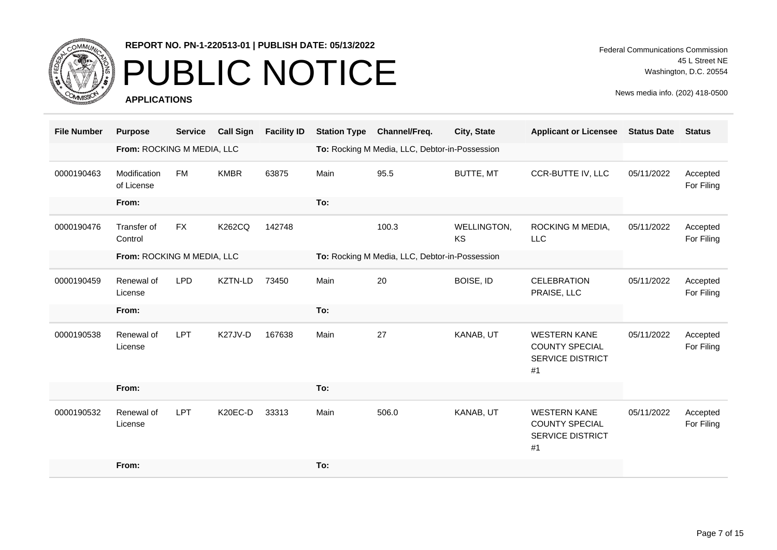

### PUBLIC NOTICE

**APPLICATIONS**

| <b>File Number</b> | <b>Purpose</b>             | <b>Service</b> | <b>Call Sign</b> | <b>Facility ID</b> | <b>Station Type</b> | Channel/Freq.                                  | City, State              | <b>Applicant or Licensee</b>                                                  | <b>Status Date</b> | <b>Status</b>          |
|--------------------|----------------------------|----------------|------------------|--------------------|---------------------|------------------------------------------------|--------------------------|-------------------------------------------------------------------------------|--------------------|------------------------|
|                    | From: ROCKING M MEDIA, LLC |                |                  |                    |                     | To: Rocking M Media, LLC, Debtor-in-Possession |                          |                                                                               |                    |                        |
| 0000190463         | Modification<br>of License | <b>FM</b>      | <b>KMBR</b>      | 63875              | Main                | 95.5                                           | BUTTE, MT                | CCR-BUTTE IV, LLC                                                             | 05/11/2022         | Accepted<br>For Filing |
|                    | From:                      |                |                  |                    | To:                 |                                                |                          |                                                                               |                    |                        |
| 0000190476         | Transfer of<br>Control     | <b>FX</b>      | <b>K262CQ</b>    | 142748             |                     | 100.3                                          | WELLINGTON,<br><b>KS</b> | ROCKING M MEDIA,<br><b>LLC</b>                                                | 05/11/2022         | Accepted<br>For Filing |
|                    | From: ROCKING M MEDIA, LLC |                |                  |                    |                     | To: Rocking M Media, LLC, Debtor-in-Possession |                          |                                                                               |                    |                        |
| 0000190459         | Renewal of<br>License      | <b>LPD</b>     | KZTN-LD          | 73450              | Main                | 20                                             | BOISE, ID                | <b>CELEBRATION</b><br>PRAISE, LLC                                             | 05/11/2022         | Accepted<br>For Filing |
|                    | From:                      |                |                  |                    | To:                 |                                                |                          |                                                                               |                    |                        |
| 0000190538         | Renewal of<br>License      | <b>LPT</b>     | K27JV-D          | 167638             | Main                | 27                                             | KANAB, UT                | <b>WESTERN KANE</b><br><b>COUNTY SPECIAL</b><br><b>SERVICE DISTRICT</b><br>#1 | 05/11/2022         | Accepted<br>For Filing |
|                    | From:                      |                |                  |                    | To:                 |                                                |                          |                                                                               |                    |                        |
| 0000190532         | Renewal of<br>License      | <b>LPT</b>     | K20EC-D          | 33313              | Main                | 506.0                                          | KANAB, UT                | <b>WESTERN KANE</b><br><b>COUNTY SPECIAL</b><br><b>SERVICE DISTRICT</b><br>#1 | 05/11/2022         | Accepted<br>For Filing |
|                    | From:                      |                |                  |                    | To:                 |                                                |                          |                                                                               |                    |                        |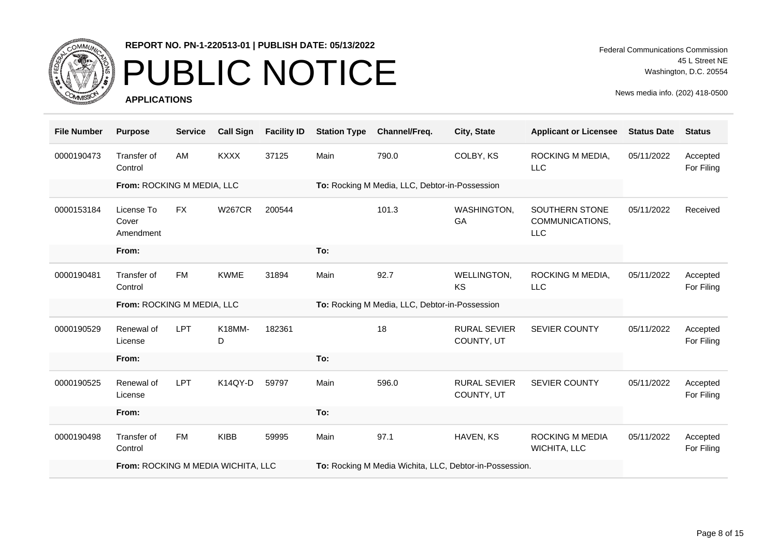

# PUBLIC NOTICE

**APPLICATIONS**

Federal Communications Commission 45 L Street NE Washington, D.C. 20554

| <b>File Number</b> | <b>Purpose</b>                   | <b>Service</b> | <b>Call Sign</b> | <b>Facility ID</b> | <b>Station Type</b> | Channel/Freq.                                  | City, State                       | <b>Applicant or Licensee</b>                    | <b>Status Date</b> | <b>Status</b>          |
|--------------------|----------------------------------|----------------|------------------|--------------------|---------------------|------------------------------------------------|-----------------------------------|-------------------------------------------------|--------------------|------------------------|
| 0000190473         | Transfer of<br>Control           | AM             | <b>KXXX</b>      | 37125              | Main                | 790.0                                          | COLBY, KS                         | ROCKING M MEDIA,<br><b>LLC</b>                  | 05/11/2022         | Accepted<br>For Filing |
|                    | From: ROCKING M MEDIA, LLC       |                |                  |                    |                     | To: Rocking M Media, LLC, Debtor-in-Possession |                                   |                                                 |                    |                        |
| 0000153184         | License To<br>Cover<br>Amendment | <b>FX</b>      | <b>W267CR</b>    | 200544             |                     | 101.3                                          | WASHINGTON,<br>GA                 | SOUTHERN STONE<br>COMMUNICATIONS,<br><b>LLC</b> | 05/11/2022         | Received               |
|                    | From:                            |                |                  |                    | To:                 |                                                |                                   |                                                 |                    |                        |
| 0000190481         | Transfer of<br>Control           | FM             | <b>KWME</b>      | 31894              | Main                | 92.7                                           | WELLINGTON,<br>KS                 | ROCKING M MEDIA,<br><b>LLC</b>                  | 05/11/2022         | Accepted<br>For Filing |
|                    |                                  |                |                  |                    |                     |                                                |                                   |                                                 |                    |                        |
|                    | From: ROCKING M MEDIA, LLC       |                |                  |                    |                     | To: Rocking M Media, LLC, Debtor-in-Possession |                                   |                                                 |                    |                        |
| 0000190529         | Renewal of<br>License            | <b>LPT</b>     | K18MM-<br>D      | 182361             |                     | 18                                             | <b>RURAL SEVIER</b><br>COUNTY, UT | SEVIER COUNTY                                   | 05/11/2022         | Accepted<br>For Filing |
|                    | From:                            |                |                  |                    | To:                 |                                                |                                   |                                                 |                    |                        |
| 0000190525         | Renewal of<br>License            | <b>LPT</b>     | K14QY-D          | 59797              | Main                | 596.0                                          | <b>RURAL SEVIER</b><br>COUNTY, UT | SEVIER COUNTY                                   | 05/11/2022         | Accepted<br>For Filing |
|                    | From:                            |                |                  |                    | To:                 |                                                |                                   |                                                 |                    |                        |
| 0000190498         | Transfer of<br>Control           | <b>FM</b>      | <b>KIBB</b>      | 59995              | Main                | 97.1                                           | HAVEN, KS                         | <b>ROCKING M MEDIA</b><br><b>WICHITA, LLC</b>   | 05/11/2022         | Accepted<br>For Filing |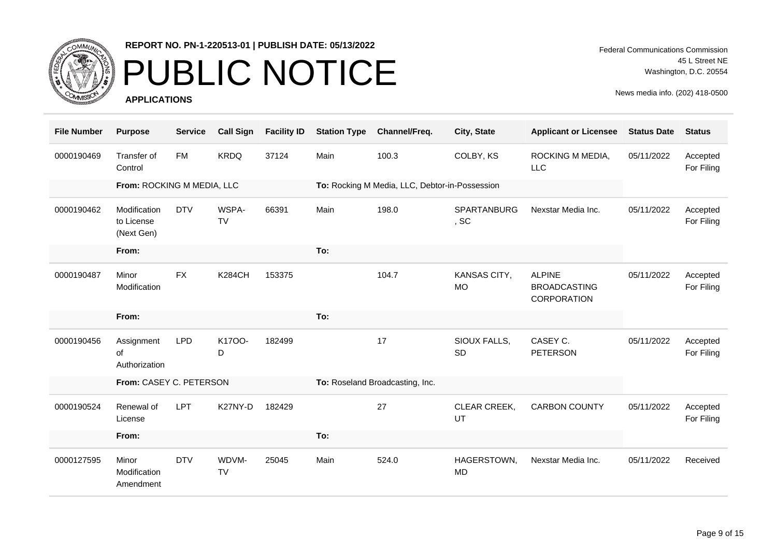

# PUBLIC NOTICE

**APPLICATIONS**

Federal Communications Commission 45 L Street NE Washington, D.C. 20554

| <b>File Number</b> | <b>Purpose</b>                           | <b>Service</b> | <b>Call Sign</b>   | <b>Facility ID</b> | <b>Station Type</b> | Channel/Freq.                                  | City, State               | <b>Applicant or Licensee</b>                               | <b>Status Date</b> | <b>Status</b>          |
|--------------------|------------------------------------------|----------------|--------------------|--------------------|---------------------|------------------------------------------------|---------------------------|------------------------------------------------------------|--------------------|------------------------|
| 0000190469         | Transfer of<br>Control                   | <b>FM</b>      | <b>KRDQ</b>        | 37124              | Main                | 100.3                                          | COLBY, KS                 | ROCKING M MEDIA,<br>LLC                                    | 05/11/2022         | Accepted<br>For Filing |
|                    | From: ROCKING M MEDIA, LLC               |                |                    |                    |                     | To: Rocking M Media, LLC, Debtor-in-Possession |                           |                                                            |                    |                        |
| 0000190462         | Modification<br>to License<br>(Next Gen) | <b>DTV</b>     | WSPA-<br><b>TV</b> | 66391              | Main                | 198.0                                          | SPARTANBURG<br>, SC       | Nexstar Media Inc.                                         | 05/11/2022         | Accepted<br>For Filing |
|                    | From:                                    |                |                    |                    | To:                 |                                                |                           |                                                            |                    |                        |
| 0000190487         | Minor<br>Modification                    | <b>FX</b>      | <b>K284CH</b>      | 153375             |                     | 104.7                                          | KANSAS CITY,<br><b>MO</b> | <b>ALPINE</b><br><b>BROADCASTING</b><br><b>CORPORATION</b> | 05/11/2022         | Accepted<br>For Filing |
|                    | From:                                    |                |                    |                    | To:                 |                                                |                           |                                                            |                    |                        |
| 0000190456         | Assignment<br>of<br>Authorization        | <b>LPD</b>     | K1700-<br>D        | 182499             |                     | 17                                             | SIOUX FALLS,<br>SD        | CASEY C.<br><b>PETERSON</b>                                | 05/11/2022         | Accepted<br>For Filing |
|                    | From: CASEY C. PETERSON                  |                |                    |                    |                     | To: Roseland Broadcasting, Inc.                |                           |                                                            |                    |                        |
| 0000190524         | Renewal of<br>License                    | <b>LPT</b>     | K27NY-D            | 182429             |                     | 27                                             | CLEAR CREEK,<br>UT        | <b>CARBON COUNTY</b>                                       | 05/11/2022         | Accepted<br>For Filing |
|                    | From:                                    |                |                    |                    | To:                 |                                                |                           |                                                            |                    |                        |
| 0000127595         | Minor<br>Modification<br>Amendment       | <b>DTV</b>     | WDVM-<br><b>TV</b> | 25045              | Main                | 524.0                                          | HAGERSTOWN,<br><b>MD</b>  | Nexstar Media Inc.                                         | 05/11/2022         | Received               |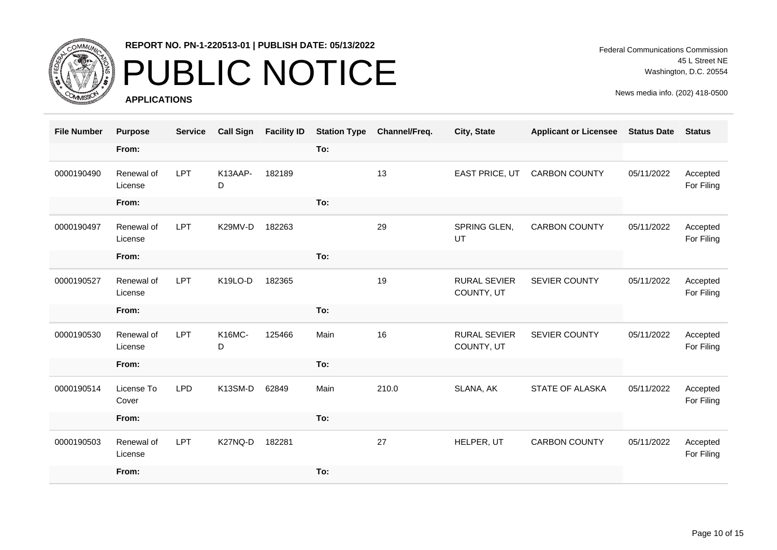

### PUBLIC NOTICE

**APPLICATIONS**

Federal Communications Commission 45 L Street NE Washington, D.C. 20554

| <b>File Number</b> | <b>Purpose</b>        | <b>Service</b> | <b>Call Sign</b>   | <b>Facility ID</b> | <b>Station Type</b> | Channel/Freq. | City, State                       | <b>Applicant or Licensee</b> | <b>Status Date</b> | <b>Status</b>          |
|--------------------|-----------------------|----------------|--------------------|--------------------|---------------------|---------------|-----------------------------------|------------------------------|--------------------|------------------------|
|                    | From:                 |                |                    |                    | To:                 |               |                                   |                              |                    |                        |
| 0000190490         | Renewal of<br>License | <b>LPT</b>     | K13AAP-<br>D       | 182189             |                     | 13            | EAST PRICE, UT                    | <b>CARBON COUNTY</b>         | 05/11/2022         | Accepted<br>For Filing |
|                    | From:                 |                |                    |                    | To:                 |               |                                   |                              |                    |                        |
| 0000190497         | Renewal of<br>License | <b>LPT</b>     | K29MV-D            | 182263             |                     | 29            | SPRING GLEN,<br>UT                | <b>CARBON COUNTY</b>         | 05/11/2022         | Accepted<br>For Filing |
|                    | From:                 |                |                    |                    | To:                 |               |                                   |                              |                    |                        |
| 0000190527         | Renewal of<br>License | LPT            | K19LO-D            | 182365             |                     | 19            | <b>RURAL SEVIER</b><br>COUNTY, UT | <b>SEVIER COUNTY</b>         | 05/11/2022         | Accepted<br>For Filing |
|                    | From:                 |                |                    |                    | To:                 |               |                                   |                              |                    |                        |
| 0000190530         | Renewal of<br>License | <b>LPT</b>     | <b>K16MC-</b><br>D | 125466             | Main                | 16            | <b>RURAL SEVIER</b><br>COUNTY, UT | SEVIER COUNTY                | 05/11/2022         | Accepted<br>For Filing |
|                    | From:                 |                |                    |                    | To:                 |               |                                   |                              |                    |                        |
| 0000190514         | License To<br>Cover   | <b>LPD</b>     | K13SM-D            | 62849              | Main                | 210.0         | SLANA, AK                         | STATE OF ALASKA              | 05/11/2022         | Accepted<br>For Filing |
|                    | From:                 |                |                    |                    | To:                 |               |                                   |                              |                    |                        |
| 0000190503         | Renewal of<br>License | <b>LPT</b>     | K27NQ-D            | 182281             |                     | 27            | HELPER, UT                        | <b>CARBON COUNTY</b>         | 05/11/2022         | Accepted<br>For Filing |
|                    | From:                 |                |                    |                    | To:                 |               |                                   |                              |                    |                        |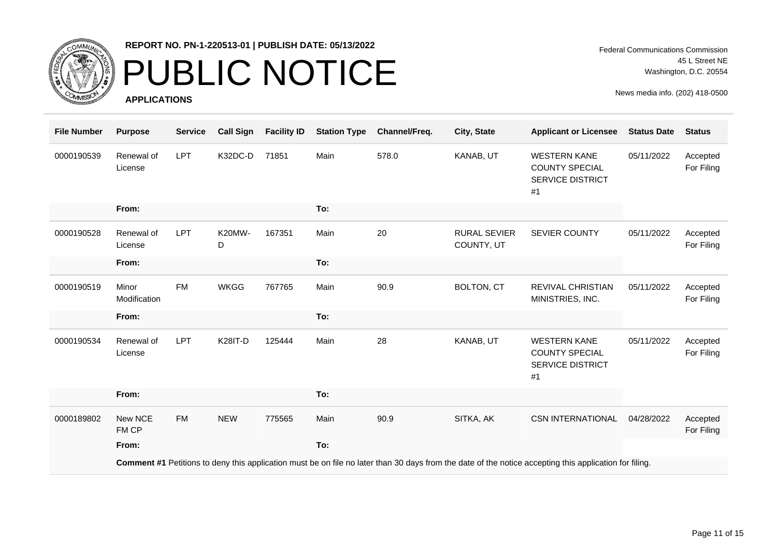

# PUBLIC NOTICE

**APPLICATIONS**

| <b>File Number</b> | <b>Purpose</b>        | <b>Service</b> | <b>Call Sign</b>   | <b>Facility ID</b> | <b>Station Type</b> | Channel/Freq. | City, State                       | <b>Applicant or Licensee</b>                                                                                                                           | <b>Status Date</b> | <b>Status</b>          |
|--------------------|-----------------------|----------------|--------------------|--------------------|---------------------|---------------|-----------------------------------|--------------------------------------------------------------------------------------------------------------------------------------------------------|--------------------|------------------------|
| 0000190539         | Renewal of<br>License | LPT            | K32DC-D            | 71851              | Main                | 578.0         | KANAB, UT                         | <b>WESTERN KANE</b><br><b>COUNTY SPECIAL</b><br><b>SERVICE DISTRICT</b><br>#1                                                                          | 05/11/2022         | Accepted<br>For Filing |
|                    | From:                 |                |                    |                    | To:                 |               |                                   |                                                                                                                                                        |                    |                        |
| 0000190528         | Renewal of<br>License | <b>LPT</b>     | <b>K20MW-</b><br>D | 167351             | Main                | 20            | <b>RURAL SEVIER</b><br>COUNTY, UT | SEVIER COUNTY                                                                                                                                          | 05/11/2022         | Accepted<br>For Filing |
|                    | From:                 |                |                    |                    | To:                 |               |                                   |                                                                                                                                                        |                    |                        |
| 0000190519         | Minor<br>Modification | <b>FM</b>      | <b>WKGG</b>        | 767765             | Main                | 90.9          | <b>BOLTON, CT</b>                 | <b>REVIVAL CHRISTIAN</b><br>MINISTRIES, INC.                                                                                                           | 05/11/2022         | Accepted<br>For Filing |
|                    | From:                 |                |                    |                    | To:                 |               |                                   |                                                                                                                                                        |                    |                        |
| 0000190534         | Renewal of<br>License | <b>LPT</b>     | <b>K28IT-D</b>     | 125444             | Main                | 28            | KANAB, UT                         | <b>WESTERN KANE</b><br><b>COUNTY SPECIAL</b><br><b>SERVICE DISTRICT</b><br>#1                                                                          | 05/11/2022         | Accepted<br>For Filing |
|                    | From:                 |                |                    |                    | To:                 |               |                                   |                                                                                                                                                        |                    |                        |
| 0000189802         | New NCE<br>FM CP      | <b>FM</b>      | <b>NEW</b>         | 775565             | Main                | 90.9          | SITKA, AK                         | <b>CSN INTERNATIONAL</b>                                                                                                                               | 04/28/2022         | Accepted<br>For Filing |
|                    | From:                 |                |                    |                    | To:                 |               |                                   |                                                                                                                                                        |                    |                        |
|                    |                       |                |                    |                    |                     |               |                                   | Comment #1 Petitions to deny this application must be on file no later than 30 days from the date of the notice accepting this application for filing. |                    |                        |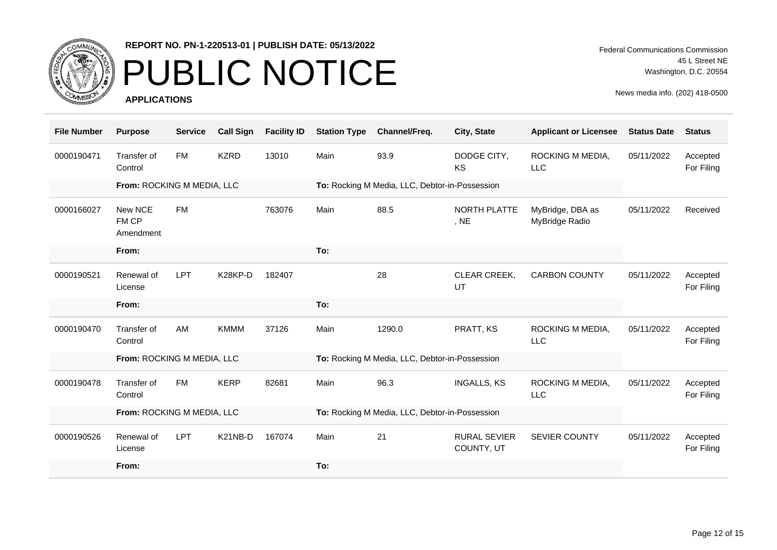

# PUBLIC NOTICE

**APPLICATIONS**

Federal Communications Commission 45 L Street NE Washington, D.C. 20554

| <b>File Number</b> | <b>Purpose</b>                | <b>Service</b> | <b>Call Sign</b> | <b>Facility ID</b> | <b>Station Type</b> | Channel/Freq.                                  | City, State                       | <b>Applicant or Licensee</b>       | <b>Status Date</b> | <b>Status</b>          |
|--------------------|-------------------------------|----------------|------------------|--------------------|---------------------|------------------------------------------------|-----------------------------------|------------------------------------|--------------------|------------------------|
| 0000190471         | Transfer of<br>Control        | <b>FM</b>      | <b>KZRD</b>      | 13010              | Main                | 93.9                                           | DODGE CITY,<br>KS                 | ROCKING M MEDIA,<br><b>LLC</b>     | 05/11/2022         | Accepted<br>For Filing |
|                    | From: ROCKING M MEDIA, LLC    |                |                  |                    |                     | To: Rocking M Media, LLC, Debtor-in-Possession |                                   |                                    |                    |                        |
| 0000166027         | New NCE<br>FM CP<br>Amendment | <b>FM</b>      |                  | 763076             | Main                | 88.5                                           | <b>NORTH PLATTE</b><br>, NE       | MyBridge, DBA as<br>MyBridge Radio | 05/11/2022         | Received               |
|                    | From:                         |                |                  |                    | To:                 |                                                |                                   |                                    |                    |                        |
| 0000190521         | Renewal of<br>License         | <b>LPT</b>     | K28KP-D          | 182407             |                     | 28                                             | CLEAR CREEK,<br>UT                | <b>CARBON COUNTY</b>               | 05/11/2022         | Accepted<br>For Filing |
|                    | From:                         |                |                  |                    | To:                 |                                                |                                   |                                    |                    |                        |
|                    |                               |                |                  |                    |                     |                                                |                                   |                                    |                    |                        |
| 0000190470         | Transfer of<br>Control        | AM             | <b>KMMM</b>      | 37126              | Main                | 1290.0                                         | PRATT, KS                         | ROCKING M MEDIA,<br><b>LLC</b>     | 05/11/2022         | Accepted<br>For Filing |
|                    | From: ROCKING M MEDIA, LLC    |                |                  |                    |                     | To: Rocking M Media, LLC, Debtor-in-Possession |                                   |                                    |                    |                        |
| 0000190478         | Transfer of<br>Control        | FM             | <b>KERP</b>      | 82681              | Main                | 96.3                                           | <b>INGALLS, KS</b>                | ROCKING M MEDIA,<br><b>LLC</b>     | 05/11/2022         | Accepted<br>For Filing |
|                    | From: ROCKING M MEDIA, LLC    |                |                  |                    |                     | To: Rocking M Media, LLC, Debtor-in-Possession |                                   |                                    |                    |                        |
| 0000190526         | Renewal of<br>License         | <b>LPT</b>     | K21NB-D          | 167074             | Main                | 21                                             | <b>RURAL SEVIER</b><br>COUNTY, UT | <b>SEVIER COUNTY</b>               | 05/11/2022         | Accepted<br>For Filing |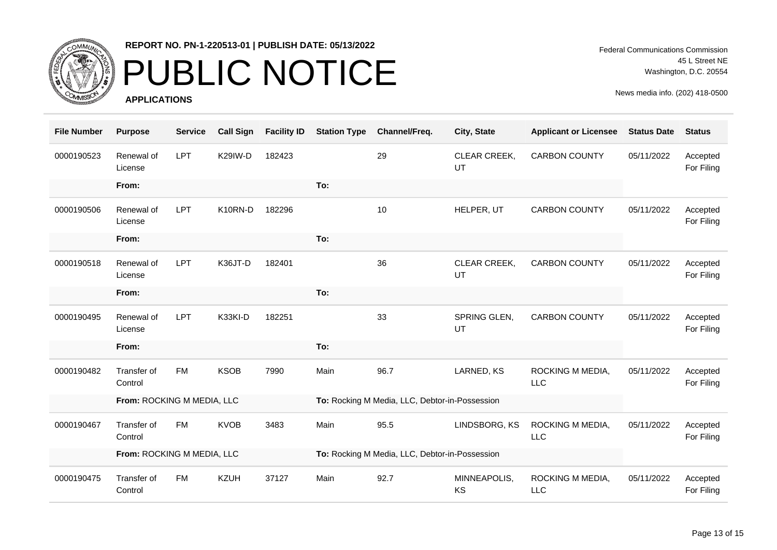

# PUBLIC NOTICE

**APPLICATIONS**

Federal Communications Commission 45 L Street NE Washington, D.C. 20554

| <b>File Number</b> | <b>Purpose</b>             | <b>Service</b> | <b>Call Sign</b> | <b>Facility ID</b> | <b>Station Type</b>                            | Channel/Freq. | City, State        | <b>Applicant or Licensee</b> | <b>Status Date</b> | <b>Status</b>          |
|--------------------|----------------------------|----------------|------------------|--------------------|------------------------------------------------|---------------|--------------------|------------------------------|--------------------|------------------------|
| 0000190523         | Renewal of<br>License      | <b>LPT</b>     | K29IW-D          | 182423             |                                                | 29            | CLEAR CREEK,<br>UT | <b>CARBON COUNTY</b>         | 05/11/2022         | Accepted<br>For Filing |
|                    | From:                      |                |                  |                    | To:                                            |               |                    |                              |                    |                        |
| 0000190506         | Renewal of<br>License      | <b>LPT</b>     | K10RN-D          | 182296             |                                                | 10            | HELPER, UT         | <b>CARBON COUNTY</b>         | 05/11/2022         | Accepted<br>For Filing |
|                    | From:                      |                |                  |                    | To:                                            |               |                    |                              |                    |                        |
| 0000190518         | Renewal of<br>License      | <b>LPT</b>     | K36JT-D          | 182401             |                                                | 36            | CLEAR CREEK,<br>UT | <b>CARBON COUNTY</b>         | 05/11/2022         | Accepted<br>For Filing |
|                    | From:                      |                |                  |                    | To:                                            |               |                    |                              |                    |                        |
| 0000190495         | Renewal of<br>License      | <b>LPT</b>     | K33KI-D          | 182251             |                                                | 33            | SPRING GLEN,<br>UT | <b>CARBON COUNTY</b>         | 05/11/2022         | Accepted<br>For Filing |
|                    | From:                      |                |                  |                    | To:                                            |               |                    |                              |                    |                        |
| 0000190482         | Transfer of<br>Control     | <b>FM</b>      | <b>KSOB</b>      | 7990               | Main                                           | 96.7          | LARNED, KS         | ROCKING M MEDIA,<br>LLC      | 05/11/2022         | Accepted<br>For Filing |
|                    | From: ROCKING M MEDIA, LLC |                |                  |                    | To: Rocking M Media, LLC, Debtor-in-Possession |               |                    |                              |                    |                        |
| 0000190467         | Transfer of<br>Control     | <b>FM</b>      | <b>KVOB</b>      | 3483               | Main                                           | 95.5          | LINDSBORG, KS      | ROCKING M MEDIA,<br>LLC      | 05/11/2022         | Accepted<br>For Filing |
|                    | From: ROCKING M MEDIA, LLC |                |                  |                    | To: Rocking M Media, LLC, Debtor-in-Possession |               |                    |                              |                    |                        |
| 0000190475         | Transfer of<br>Control     | <b>FM</b>      | <b>KZUH</b>      | 37127              | Main                                           | 92.7          | MINNEAPOLIS,<br>KS | ROCKING M MEDIA,<br>LLC      | 05/11/2022         | Accepted<br>For Filing |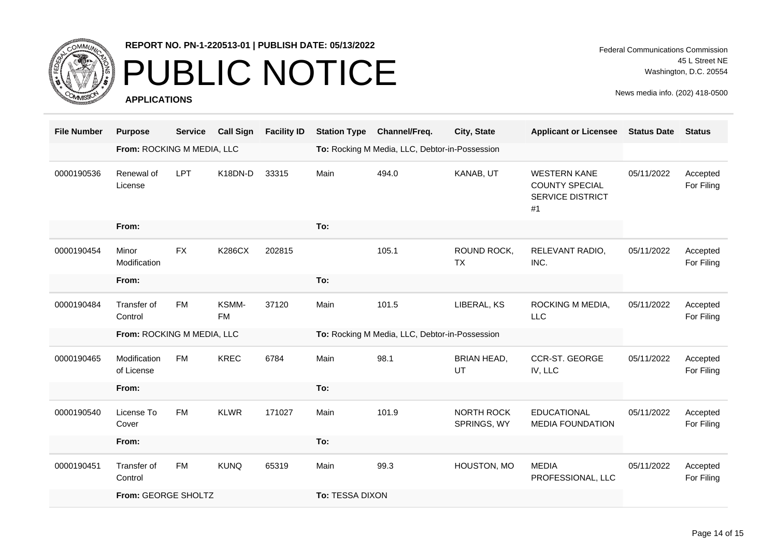

### PUBLIC NOTICE

**APPLICATIONS**

Federal Communications Commission 45 L Street NE Washington, D.C. 20554

| <b>File Number</b> | <b>Purpose</b>             | <b>Service</b> | <b>Call Sign</b>   | <b>Facility ID</b> | <b>Station Type</b>                            | Channel/Freq. | City, State                      | <b>Applicant or Licensee</b>                                                  | <b>Status Date</b> | <b>Status</b>          |
|--------------------|----------------------------|----------------|--------------------|--------------------|------------------------------------------------|---------------|----------------------------------|-------------------------------------------------------------------------------|--------------------|------------------------|
|                    | From: ROCKING M MEDIA, LLC |                |                    |                    | To: Rocking M Media, LLC, Debtor-in-Possession |               |                                  |                                                                               |                    |                        |
| 0000190536         | Renewal of<br>License      | <b>LPT</b>     | K18DN-D            | 33315              | Main                                           | 494.0         | KANAB, UT                        | <b>WESTERN KANE</b><br><b>COUNTY SPECIAL</b><br><b>SERVICE DISTRICT</b><br>#1 | 05/11/2022         | Accepted<br>For Filing |
|                    | From:                      |                |                    |                    | To:                                            |               |                                  |                                                                               |                    |                        |
| 0000190454         | Minor<br>Modification      | <b>FX</b>      | <b>K286CX</b>      | 202815             |                                                | 105.1         | ROUND ROCK,<br><b>TX</b>         | RELEVANT RADIO,<br>INC.                                                       | 05/11/2022         | Accepted<br>For Filing |
|                    | From:                      |                |                    |                    | To:                                            |               |                                  |                                                                               |                    |                        |
| 0000190484         | Transfer of<br>Control     | <b>FM</b>      | KSMM-<br><b>FM</b> | 37120              | Main                                           | 101.5         | LIBERAL, KS                      | ROCKING M MEDIA,<br><b>LLC</b>                                                | 05/11/2022         | Accepted<br>For Filing |
|                    | From: ROCKING M MEDIA, LLC |                |                    |                    | To: Rocking M Media, LLC, Debtor-in-Possession |               |                                  |                                                                               |                    |                        |
| 0000190465         | Modification<br>of License | <b>FM</b>      | <b>KREC</b>        | 6784               | Main                                           | 98.1          | <b>BRIAN HEAD,</b><br>UT         | <b>CCR-ST. GEORGE</b><br>IV, LLC                                              | 05/11/2022         | Accepted<br>For Filing |
|                    | From:                      |                |                    |                    | To:                                            |               |                                  |                                                                               |                    |                        |
| 0000190540         | License To<br>Cover        | <b>FM</b>      | <b>KLWR</b>        | 171027             | Main                                           | 101.9         | <b>NORTH ROCK</b><br>SPRINGS, WY | <b>EDUCATIONAL</b><br><b>MEDIA FOUNDATION</b>                                 | 05/11/2022         | Accepted<br>For Filing |
|                    | From:                      |                |                    |                    | To:                                            |               |                                  |                                                                               |                    |                        |
| 0000190451         | Transfer of<br>Control     | <b>FM</b>      | <b>KUNQ</b>        | 65319              | Main                                           | 99.3          | HOUSTON, MO                      | <b>MEDIA</b><br>PROFESSIONAL, LLC                                             | 05/11/2022         | Accepted<br>For Filing |
|                    | From: GEORGE SHOLTZ        |                |                    |                    | To: TESSA DIXON                                |               |                                  |                                                                               |                    |                        |